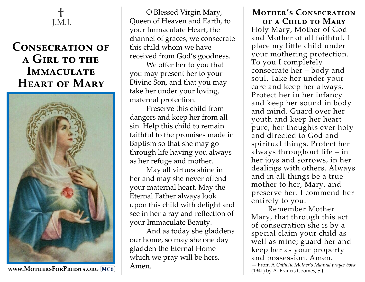

## **Consecration of a Girl to the Immaculate Heart of Mary**



**www.MothersForPriests.org MC6**

O Blessed Virgin Mary, Queen of Heaven and Earth, to your Immaculate Heart, the channel of graces, we consecrate this child whom we have received from God's goodness.

We offer her to you that you may present her to your Divine Son, and that you may take her under your loving, maternal protection.

Preserve this child from dangers and keep her from all sin. Help this child to remain faithful to the promises made in Baptism so that she may go through life having you always as her refuge and mother.

May all virtues shine in her and may she never offend your maternal heart. May the Eternal Father always look upon this child with delight and see in her a ray and reflection of your Immaculate Beauty.

And as today she gladdens our home, so may she one day gladden the Eternal Home which we pray will be hers. Amen.

## **Mother's Consecration of a Child to Mary**

Holy Mary, Mother of God and Mother of all faithful, I place my little child under your mothering protection. To you I completely consecrate her – body and soul. Take her under your care and keep her always. Protect her in her infancy and keep her sound in body and mind. Guard over her youth and keep her heart pure, her thoughts ever holy and directed to God and spiritual things. Protect her always throughout life – in her joys and sorrows, in her dealings with others. Always and in all things be a true mother to her, Mary, and preserve her. I commend her entirely to you.

Remember Mother Mary, that through this act of consecration she is by a special claim your child as well as mine; guard her and keep her as your property and possession. Amen. — From A *Catholic Mother's Manual prayer book*  (1941) by A. Francis Coomes, S.J.